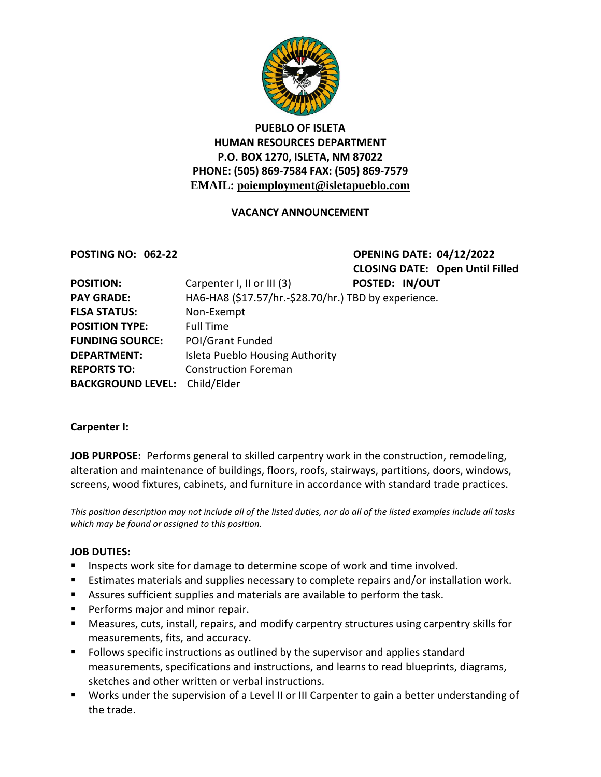

# **PUEBLO OF ISLETA HUMAN RESOURCES DEPARTMENT P.O. BOX 1270, ISLETA, NM 87022 PHONE: (505) 869-7584 FAX: (505) 869-7579 EMAIL: poiemployment@isletapueblo.com**

### **VACANCY ANNOUNCEMENT**

**POSTING NO: 062-22 OPENING DATE: 04/12/2022 CLOSING DATE: Open Until Filled**

| <b>POSITION:</b>                     | Carpenter I, II or III (3)                           | POSTED: IN/OUT |  |
|--------------------------------------|------------------------------------------------------|----------------|--|
| <b>PAY GRADE:</b>                    | HA6-HA8 (\$17.57/hr.-\$28.70/hr.) TBD by experience. |                |  |
| <b>FLSA STATUS:</b>                  | Non-Exempt                                           |                |  |
| <b>POSITION TYPE:</b>                | <b>Full Time</b>                                     |                |  |
| <b>FUNDING SOURCE:</b>               | <b>POI/Grant Funded</b>                              |                |  |
| <b>DEPARTMENT:</b>                   | Isleta Pueblo Housing Authority                      |                |  |
| <b>REPORTS TO:</b>                   | <b>Construction Foreman</b>                          |                |  |
| <b>BACKGROUND LEVEL:</b> Child/Elder |                                                      |                |  |

### **Carpenter I:**

**JOB PURPOSE:** Performs general to skilled carpentry work in the construction, remodeling, alteration and maintenance of buildings, floors, roofs, stairways, partitions, doors, windows, screens, wood fixtures, cabinets, and furniture in accordance with standard trade practices.

*This position description may not include all of the listed duties, nor do all of the listed examples include all tasks which may be found or assigned to this position.*

### **JOB DUTIES:**

- **Inspects work site for damage to determine scope of work and time involved.**
- **Estimates materials and supplies necessary to complete repairs and/or installation work.**
- Assures sufficient supplies and materials are available to perform the task.
- **Performs major and minor repair.**
- Measures, cuts, install, repairs, and modify carpentry structures using carpentry skills for measurements, fits, and accuracy.
- **FILLO** Follows specific instructions as outlined by the supervisor and applies standard measurements, specifications and instructions, and learns to read blueprints, diagrams, sketches and other written or verbal instructions.
- Works under the supervision of a Level II or III Carpenter to gain a better understanding of the trade.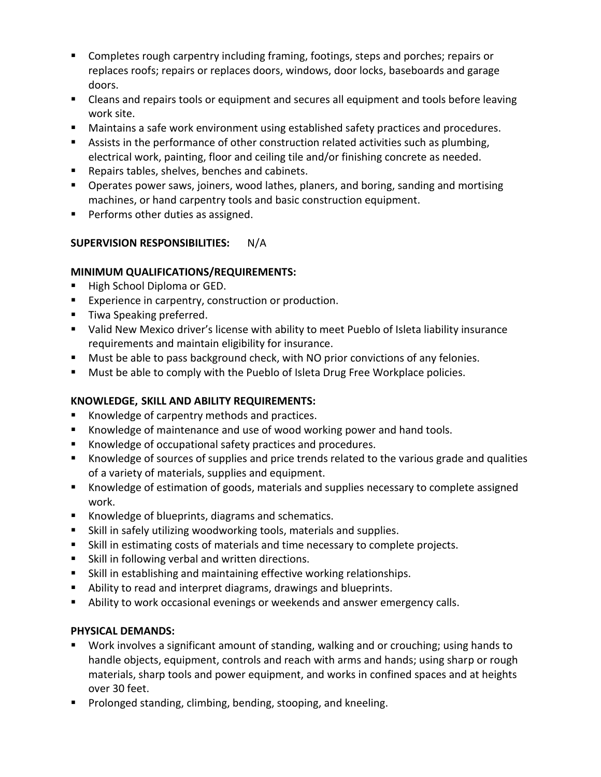- Completes rough carpentry including framing, footings, steps and porches; repairs or replaces roofs; repairs or replaces doors, windows, door locks, baseboards and garage doors.
- **EXT** Cleans and repairs tools or equipment and secures all equipment and tools before leaving work site.
- Maintains a safe work environment using established safety practices and procedures.
- **EXECT** Assists in the performance of other construction related activities such as plumbing, electrical work, painting, floor and ceiling tile and/or finishing concrete as needed.
- Repairs tables, shelves, benches and cabinets.
- **Derates power saws, joiners, wood lathes, planers, and boring, sanding and mortising** machines, or hand carpentry tools and basic construction equipment.
- **Performs other duties as assigned.**

# **SUPERVISION RESPONSIBILITIES:** N/A

## **MINIMUM QUALIFICATIONS/REQUIREMENTS:**

- High School Diploma or GED.
- **Experience in carpentry, construction or production.**
- **Tiwa Speaking preferred.**
- Valid New Mexico driver's license with ability to meet Pueblo of Isleta liability insurance requirements and maintain eligibility for insurance.
- Must be able to pass background check, with NO prior convictions of any felonies.
- **Must be able to comply with the Pueblo of Isleta Drug Free Workplace policies.**

## **KNOWLEDGE, SKILL AND ABILITY REQUIREMENTS:**

- Knowledge of carpentry methods and practices.
- Knowledge of maintenance and use of wood working power and hand tools.
- Knowledge of occupational safety practices and procedures.
- Knowledge of sources of supplies and price trends related to the various grade and qualities of a variety of materials, supplies and equipment.
- Knowledge of estimation of goods, materials and supplies necessary to complete assigned work.
- Knowledge of blueprints, diagrams and schematics.
- Skill in safely utilizing woodworking tools, materials and supplies.
- Skill in estimating costs of materials and time necessary to complete projects.
- **Skill in following verbal and written directions.**
- Skill in establishing and maintaining effective working relationships.
- Ability to read and interpret diagrams, drawings and blueprints.
- Ability to work occasional evenings or weekends and answer emergency calls.

## **PHYSICAL DEMANDS:**

- Work involves a significant amount of standing, walking and or crouching; using hands to handle objects, equipment, controls and reach with arms and hands; using sharp or rough materials, sharp tools and power equipment, and works in confined spaces and at heights over 30 feet.
- **Prolonged standing, climbing, bending, stooping, and kneeling.**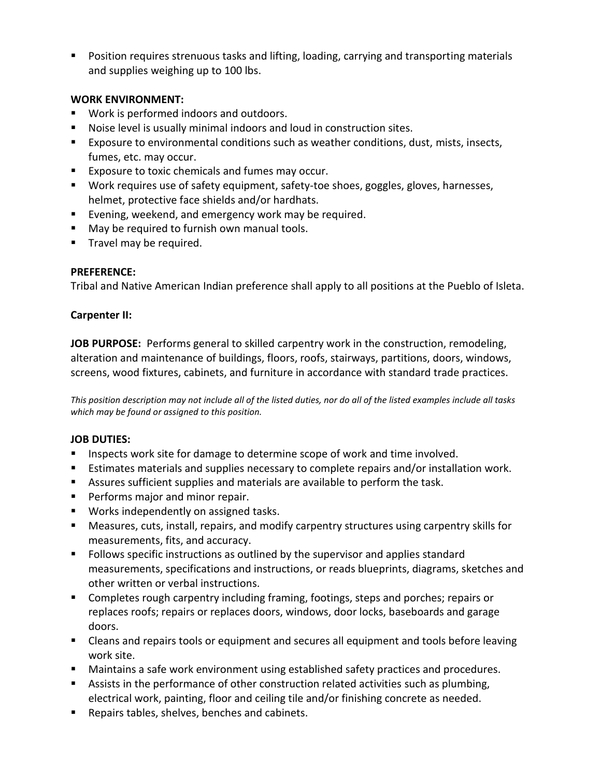**Position requires strenuous tasks and lifting, loading, carrying and transporting materials** and supplies weighing up to 100 lbs.

### **WORK ENVIRONMENT:**

- Work is performed indoors and outdoors.
- Noise level is usually minimal indoors and loud in construction sites.
- Exposure to environmental conditions such as weather conditions, dust, mists, insects, fumes, etc. may occur.
- **Exposure to toxic chemicals and fumes may occur.**
- Work requires use of safety equipment, safety-toe shoes, goggles, gloves, harnesses, helmet, protective face shields and/or hardhats.
- Evening, weekend, and emergency work may be required.
- **May be required to furnish own manual tools.**
- **Travel may be required.**

## **PREFERENCE:**

Tribal and Native American Indian preference shall apply to all positions at the Pueblo of Isleta.

### **Carpenter II:**

**JOB PURPOSE:** Performs general to skilled carpentry work in the construction, remodeling, alteration and maintenance of buildings, floors, roofs, stairways, partitions, doors, windows, screens, wood fixtures, cabinets, and furniture in accordance with standard trade practices.

*This position description may not include all of the listed duties, nor do all of the listed examples include all tasks which may be found or assigned to this position.*

## **JOB DUTIES:**

- **Inspects work site for damage to determine scope of work and time involved.**
- **Estimates materials and supplies necessary to complete repairs and/or installation work.**
- Assures sufficient supplies and materials are available to perform the task.
- **Performs major and minor repair.**
- **Works independently on assigned tasks.**
- Measures, cuts, install, repairs, and modify carpentry structures using carpentry skills for measurements, fits, and accuracy.
- **F** Follows specific instructions as outlined by the supervisor and applies standard measurements, specifications and instructions, or reads blueprints, diagrams, sketches and other written or verbal instructions.
- Completes rough carpentry including framing, footings, steps and porches; repairs or replaces roofs; repairs or replaces doors, windows, door locks, baseboards and garage doors.
- **EXT** Cleans and repairs tools or equipment and secures all equipment and tools before leaving work site.
- Maintains a safe work environment using established safety practices and procedures.
- **EXECT** Assists in the performance of other construction related activities such as plumbing, electrical work, painting, floor and ceiling tile and/or finishing concrete as needed.
- **Repairs tables, shelves, benches and cabinets.**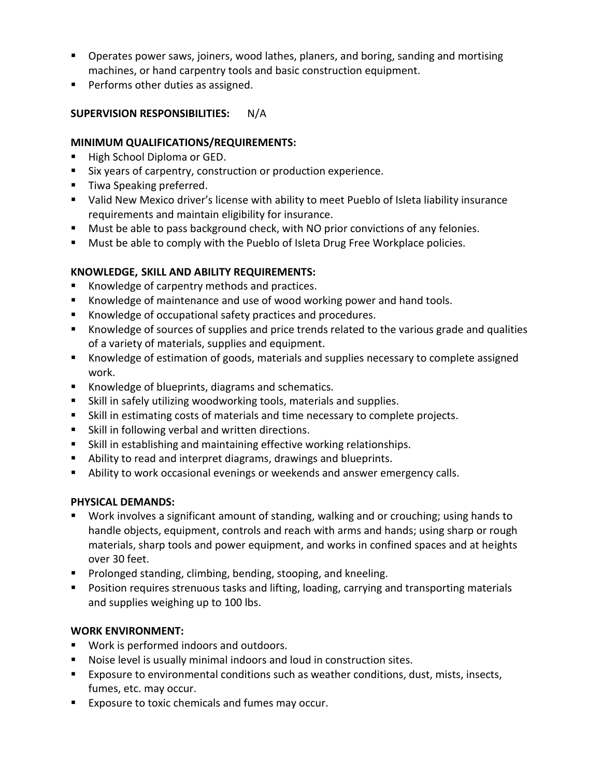- **Dearates power saws, joiners, wood lathes, planers, and boring, sanding and mortising** machines, or hand carpentry tools and basic construction equipment.
- **Performs other duties as assigned.**

## **SUPERVISION RESPONSIBILITIES:** N/A

### **MINIMUM QUALIFICATIONS/REQUIREMENTS:**

- High School Diploma or GED.
- Six years of carpentry, construction or production experience.
- Tiwa Speaking preferred.
- Valid New Mexico driver's license with ability to meet Pueblo of Isleta liability insurance requirements and maintain eligibility for insurance.
- **Must be able to pass background check, with NO prior convictions of any felonies.**
- **Must be able to comply with the Pueblo of Isleta Drug Free Workplace policies.**

# **KNOWLEDGE, SKILL AND ABILITY REQUIREMENTS:**

- Knowledge of carpentry methods and practices.
- Knowledge of maintenance and use of wood working power and hand tools.
- Knowledge of occupational safety practices and procedures.
- Knowledge of sources of supplies and price trends related to the various grade and qualities of a variety of materials, supplies and equipment.
- Knowledge of estimation of goods, materials and supplies necessary to complete assigned work.
- Knowledge of blueprints, diagrams and schematics.
- Skill in safely utilizing woodworking tools, materials and supplies.
- Skill in estimating costs of materials and time necessary to complete projects.
- **Skill in following verbal and written directions.**
- Skill in establishing and maintaining effective working relationships.
- Ability to read and interpret diagrams, drawings and blueprints.
- Ability to work occasional evenings or weekends and answer emergency calls.

## **PHYSICAL DEMANDS:**

- Work involves a significant amount of standing, walking and or crouching; using hands to handle objects, equipment, controls and reach with arms and hands; using sharp or rough materials, sharp tools and power equipment, and works in confined spaces and at heights over 30 feet.
- **Prolonged standing, climbing, bending, stooping, and kneeling.**
- **Position requires strenuous tasks and lifting, loading, carrying and transporting materials** and supplies weighing up to 100 lbs.

# **WORK ENVIRONMENT:**

- Work is performed indoors and outdoors.
- Noise level is usually minimal indoors and loud in construction sites.
- Exposure to environmental conditions such as weather conditions, dust, mists, insects, fumes, etc. may occur.
- Exposure to toxic chemicals and fumes may occur.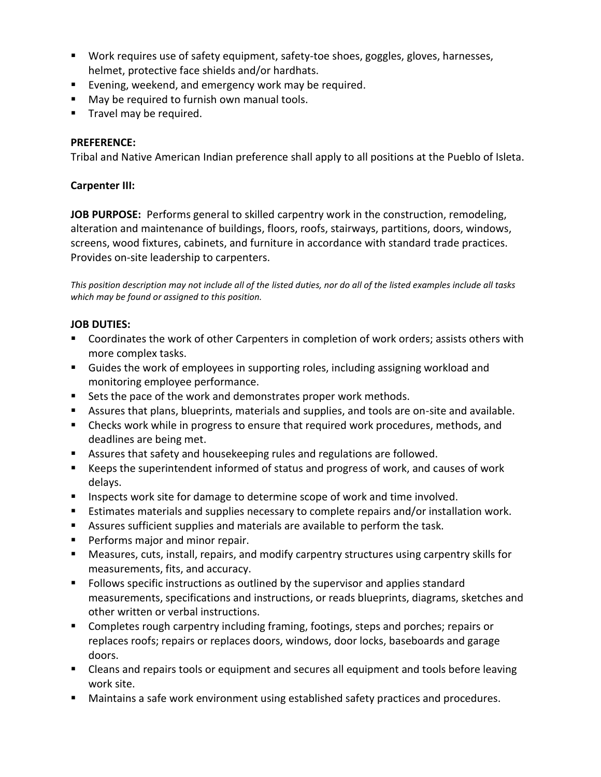- Work requires use of safety equipment, safety-toe shoes, goggles, gloves, harnesses, helmet, protective face shields and/or hardhats.
- Evening, weekend, and emergency work may be required.
- **May be required to furnish own manual tools.**
- **Travel may be required.**

### **PREFERENCE:**

Tribal and Native American Indian preference shall apply to all positions at the Pueblo of Isleta.

### **Carpenter III:**

**JOB PURPOSE:** Performs general to skilled carpentry work in the construction, remodeling, alteration and maintenance of buildings, floors, roofs, stairways, partitions, doors, windows, screens, wood fixtures, cabinets, and furniture in accordance with standard trade practices. Provides on-site leadership to carpenters.

*This position description may not include all of the listed duties, nor do all of the listed examples include all tasks which may be found or assigned to this position.*

### **JOB DUTIES:**

- **Coordinates the work of other Carpenters in completion of work orders; assists others with** more complex tasks.
- Guides the work of employees in supporting roles, including assigning workload and monitoring employee performance.
- Sets the pace of the work and demonstrates proper work methods.
- Assures that plans, blueprints, materials and supplies, and tools are on-site and available.
- **EXP** Checks work while in progress to ensure that required work procedures, methods, and deadlines are being met.
- Assures that safety and housekeeping rules and regulations are followed.
- Keeps the superintendent informed of status and progress of work, and causes of work delays.
- **Inspects work site for damage to determine scope of work and time involved.**
- **Estimates materials and supplies necessary to complete repairs and/or installation work.**
- Assures sufficient supplies and materials are available to perform the task.
- **Performs major and minor repair.**
- Measures, cuts, install, repairs, and modify carpentry structures using carpentry skills for measurements, fits, and accuracy.
- Follows specific instructions as outlined by the supervisor and applies standard measurements, specifications and instructions, or reads blueprints, diagrams, sketches and other written or verbal instructions.
- **Completes rough carpentry including framing, footings, steps and porches; repairs or** replaces roofs; repairs or replaces doors, windows, door locks, baseboards and garage doors.
- **EXT** Cleans and repairs tools or equipment and secures all equipment and tools before leaving work site.
- Maintains a safe work environment using established safety practices and procedures.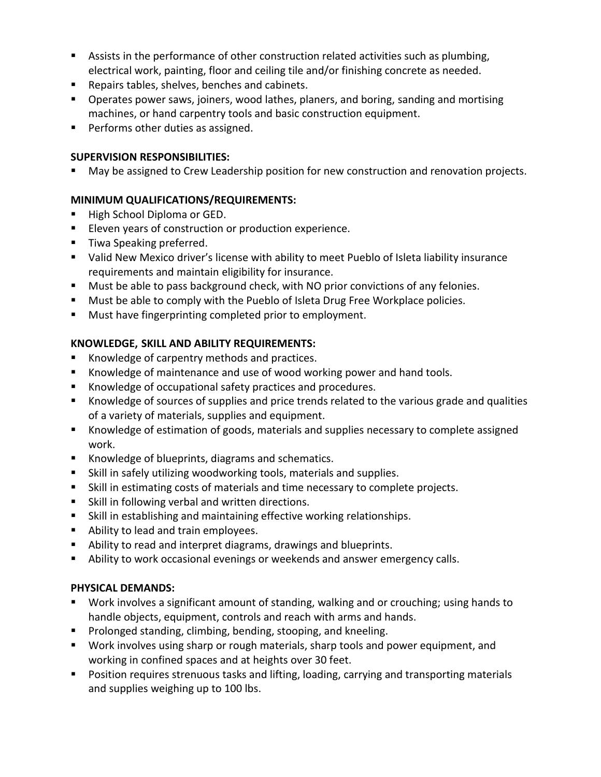- **EXECT** Assists in the performance of other construction related activities such as plumbing, electrical work, painting, floor and ceiling tile and/or finishing concrete as needed.
- **Repairs tables, shelves, benches and cabinets.**
- **Dearates power saws, joiners, wood lathes, planers, and boring, sanding and mortising** machines, or hand carpentry tools and basic construction equipment.
- **Performs other duties as assigned.**

## **SUPERVISION RESPONSIBILITIES:**

May be assigned to Crew Leadership position for new construction and renovation projects.

# **MINIMUM QUALIFICATIONS/REQUIREMENTS:**

- High School Diploma or GED.
- **Eleven years of construction or production experience.**
- **Tiwa Speaking preferred.**
- Valid New Mexico driver's license with ability to meet Pueblo of Isleta liability insurance requirements and maintain eligibility for insurance.
- **Must be able to pass background check, with NO prior convictions of any felonies.**
- **Must be able to comply with the Pueblo of Isleta Drug Free Workplace policies.**
- **Must have fingerprinting completed prior to employment.**

# **KNOWLEDGE, SKILL AND ABILITY REQUIREMENTS:**

- Knowledge of carpentry methods and practices.
- Knowledge of maintenance and use of wood working power and hand tools.
- Knowledge of occupational safety practices and procedures.
- Knowledge of sources of supplies and price trends related to the various grade and qualities of a variety of materials, supplies and equipment.
- Knowledge of estimation of goods, materials and supplies necessary to complete assigned work.
- Knowledge of blueprints, diagrams and schematics.
- Skill in safely utilizing woodworking tools, materials and supplies.
- Skill in estimating costs of materials and time necessary to complete projects.
- **Skill in following verbal and written directions.**
- Skill in establishing and maintaining effective working relationships.
- Ability to lead and train employees.
- Ability to read and interpret diagrams, drawings and blueprints.
- Ability to work occasional evenings or weekends and answer emergency calls.

## **PHYSICAL DEMANDS:**

- Work involves a significant amount of standing, walking and or crouching; using hands to handle objects, equipment, controls and reach with arms and hands.
- **Prolonged standing, climbing, bending, stooping, and kneeling.**
- Work involves using sharp or rough materials, sharp tools and power equipment, and working in confined spaces and at heights over 30 feet.
- **Position requires strenuous tasks and lifting, loading, carrying and transporting materials** and supplies weighing up to 100 lbs.